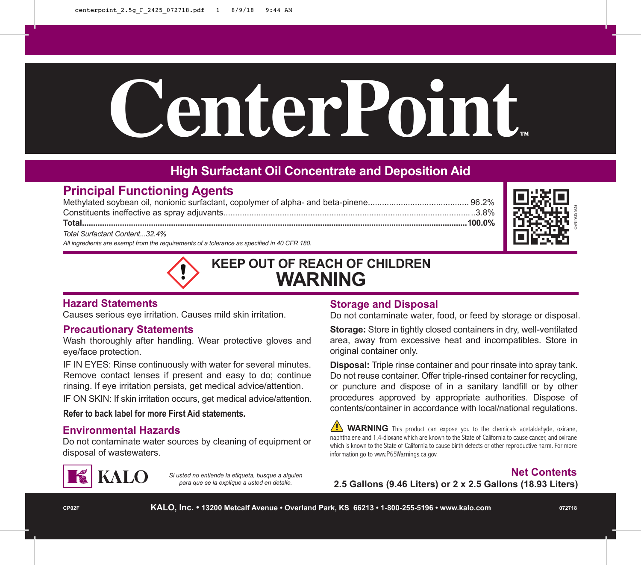# CenterPoint

## **High Surfactant Oil Concentrate and Deposition Aid**

### **Principal Functioning Agents**

Methylated soybean oil, nonionic surfactant, copolymer of alpha- and beta-pinene........................................... 96.2% Constituents ineffective as spray adjuvants...........................................................................................................3.8% **Total.............................................................................................................................................................................100.0%**

*Total Surfactant Content...32.4%*

*All ingredients are exempt from the requirements of a tolerance as specified in 40 CFR 180.*



# **KEEP OUT OF REACH OF CHILDREN WARNING**

### **Hazard Statements**

Causes serious eye irritation. Causes mild skin irritation.

### **Precautionary Statements**

Wash thoroughly after handling. Wear protective gloves and eye/face protection.

IF IN EYES: Rinse continuously with water for several minutes. Remove contact lenses if present and easy to do; continue rinsing. If eye irritation persists, get medical advice/attention.

IF ON SKIN: If skin irritation occurs, get medical advice/attention.

**Refer to back label for more First Aid statements.**

### **Environmental Hazards**

Do not contaminate water sources by cleaning of equipment or disposal of wastewaters.



*Si usted no entiende la etiqueta, busque a alguien para que se la explique a usted en detalle.*

### **Storage and Disposal**

Do not contaminate water, food, or feed by storage or disposal.

**Storage:** Store in tightly closed containers in dry, well-ventilated area, away from excessive heat and incompatibles. Store in original container only.

**Disposal:** Triple rinse container and pour rinsate into spray tank. Do not reuse container. Offer triple-rinsed container for recycling, or puncture and dispose of in a sanitary landfill or by other procedures approved by appropriate authorities. Dispose of contents/container in accordance with local/national regulations.

 **WARNING** This product can expose you to the chemicals acetaldehyde, oxirane, naphthalene and 1,4-dioxane which are known to the State of California to cause cancer, and oxirane which is known to the State of California to cause birth defects or other reproductive harm. For more information go to www.P65Warnings.ca.gov.

**Net Contents 2.5 Gallons (9.46 Liters) or 2 x 2.5 Gallons (18.93 Liters)**

FOR SDS INFO